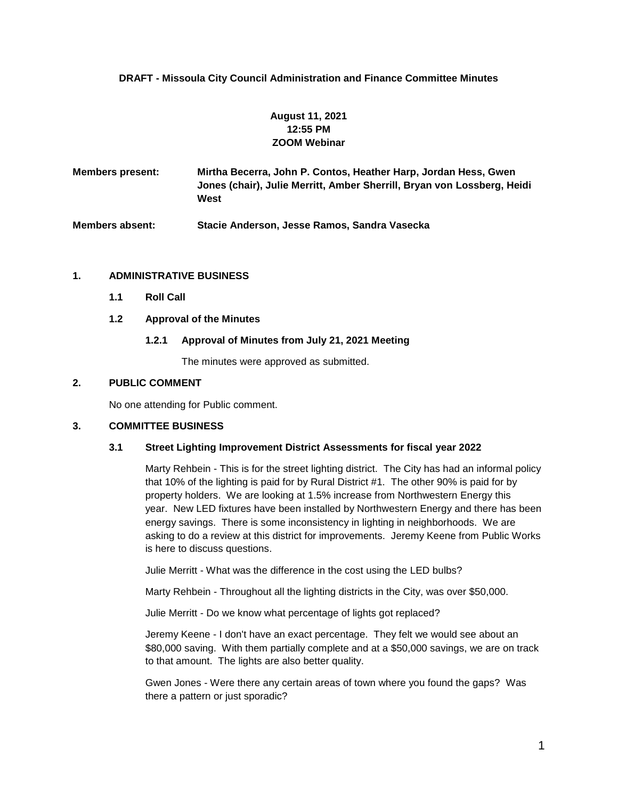# **DRAFT - Missoula City Council Administration and Finance Committee Minutes**

# **August 11, 2021 12:55 PM ZOOM Webinar**

**Members present: Mirtha Becerra, John P. Contos, Heather Harp, Jordan Hess, Gwen Jones (chair), Julie Merritt, Amber Sherrill, Bryan von Lossberg, Heidi West**

**Members absent: Stacie Anderson, Jesse Ramos, Sandra Vasecka**

## **1. ADMINISTRATIVE BUSINESS**

**1.1 Roll Call**

## **1.2 Approval of the Minutes**

## **1.2.1 Approval of Minutes from July 21, 2021 Meeting**

The minutes were approved as submitted.

## **2. PUBLIC COMMENT**

No one attending for Public comment.

#### **3. COMMITTEE BUSINESS**

#### **3.1 Street Lighting Improvement District Assessments for fiscal year 2022**

Marty Rehbein - This is for the street lighting district. The City has had an informal policy that 10% of the lighting is paid for by Rural District #1. The other 90% is paid for by property holders. We are looking at 1.5% increase from Northwestern Energy this year. New LED fixtures have been installed by Northwestern Energy and there has been energy savings. There is some inconsistency in lighting in neighborhoods. We are asking to do a review at this district for improvements. Jeremy Keene from Public Works is here to discuss questions.

Julie Merritt - What was the difference in the cost using the LED bulbs?

Marty Rehbein - Throughout all the lighting districts in the City, was over \$50,000.

Julie Merritt - Do we know what percentage of lights got replaced?

Jeremy Keene - I don't have an exact percentage. They felt we would see about an \$80,000 saving. With them partially complete and at a \$50,000 savings, we are on track to that amount. The lights are also better quality.

Gwen Jones - Were there any certain areas of town where you found the gaps? Was there a pattern or just sporadic?